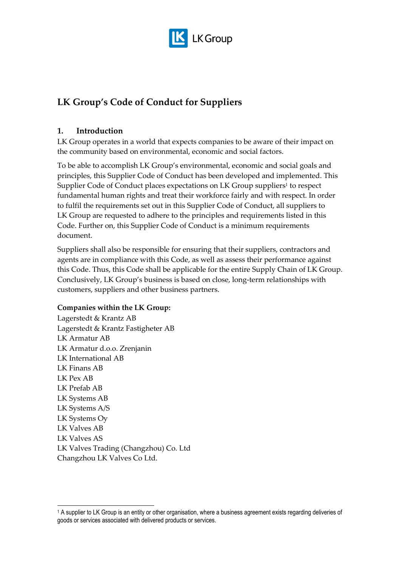

# **LK Group's Code of Conduct for Suppliers**

# **1. Introduction**

LK Group operates in a world that expects companies to be aware of their impact on the community based on environmental, economic and social factors.

To be able to accomplish LK Group's environmental, economic and social goals and principles, this Supplier Code of Conduct has been developed and implemented. This Supplier Code of Conduct places expectations on LK Group suppliers<sup>1</sup> to respect fundamental human rights and treat their workforce fairly and with respect. In order to fulfil the requirements set out in this Supplier Code of Conduct, all suppliers to LK Group are requested to adhere to the principles and requirements listed in this Code. Further on, this Supplier Code of Conduct is a minimum requirements document.

Suppliers shall also be responsible for ensuring that their suppliers, contractors and agents are in compliance with this Code, as well as assess their performance against this Code. Thus, this Code shall be applicable for the entire Supply Chain of LK Group. Conclusively, LK Group's business is based on close, long-term relationships with customers, suppliers and other business partners.

# **Companies within the LK Group:**

Lagerstedt & Krantz AB Lagerstedt & Krantz Fastigheter AB LK Armatur AB LK Armatur d.o.o. Zrenjanin LK International AB LK Finans AB LK Pex AB LK Prefab AB LK Systems AB LK Systems A/S LK Systems Oy LK Valves AB LK Valves AS LK Valves Trading (Changzhou) Co. Ltd Changzhou LK Valves Co Ltd.

-

<sup>&</sup>lt;sup>1</sup> A supplier to LK Group is an entity or other organisation, where a business agreement exists regarding deliveries of goods or services associated with delivered products or services.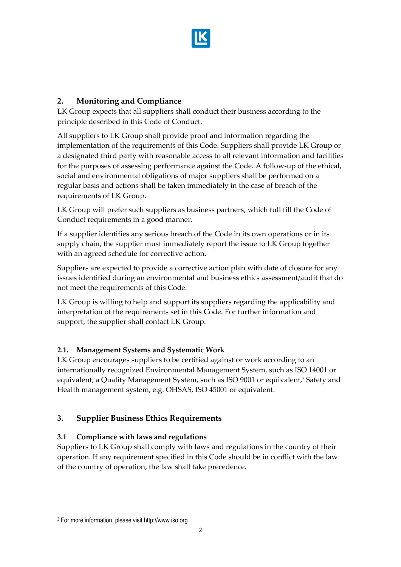

# **2. Monitoring and Compliance**

LK Group expects that all suppliers shall conduct their business according to the principle described in this Code of Conduct.

All suppliers to LK Group shall provide proof and information regarding the implementation of the requirements of this Code. Suppliers shall provide LK Group or a designated third party with reasonable access to all relevant information and facilities for the purposes of assessing performance against the Code. A follow-up of the ethical, social and environmental obligations of major suppliers shall be performed on a regular basis and actions shall be taken immediately in the case of breach of the requirements of LK Group.

LK Group will prefer such suppliers as business partners, which full fill the Code of Conduct requirements in a good manner.

If a supplier identifies any serious breach of the Code in its own operations or in its supply chain, the supplier must immediately report the issue to LK Group together with an agreed schedule for corrective action.

Suppliers are expected to provide a corrective action plan with date of closure for any issues identified during an environmental and business ethics assessment/audit that do not meet the requirements of this Code.

LK Group is willing to help and support its suppliers regarding the applicability and interpretation of the requirements set in this Code. For further information and support, the supplier shall contact LK Group.

# **2.1. Management Systems and Systematic Work**

LK Group encourages suppliers to be certified against or work according to an internationally recognized Environmental Management System, such as ISO 14001 or equivalent, a Quality Management System, such as ISO 9001 or equivalent,<sup>2</sup> Safety and Health management system, e.g. OHSAS, ISO 45001 or equivalent.

# **3. Supplier Business Ethics Requirements**

# **3.1 Compliance with laws and regulations**

Suppliers to LK Group shall comply with laws and regulations in the country of their operation. If any requirement specified in this Code should be in conflict with the law of the country of operation, the law shall take precedence.

-

<sup>2</sup> For more information, please visit http://www.iso.org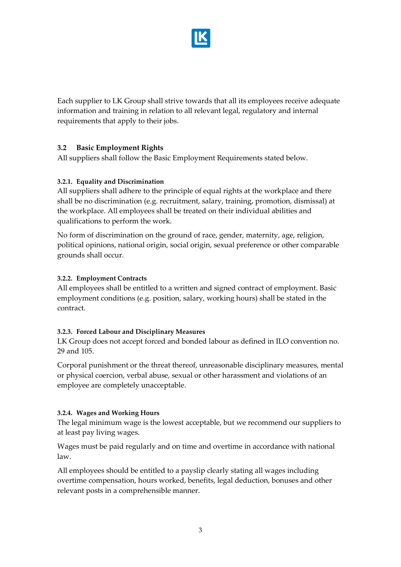

Each supplier to LK Group shall strive towards that all its employees receive adequate information and training in relation to all relevant legal, regulatory and internal requirements that apply to their jobs.

# **3.2 Basic Employment Rights**

All suppliers shall follow the Basic Employment Requirements stated below.

#### **3.2.1. Equality and Discrimination**

All suppliers shall adhere to the principle of equal rights at the workplace and there shall be no discrimination (e.g. recruitment, salary, training, promotion, dismissal) at the workplace. All employees shall be treated on their individual abilities and qualifications to perform the work.

No form of discrimination on the ground of race, gender, maternity, age, religion, political opinions, national origin, social origin, sexual preference or other comparable grounds shall occur.

#### **3.2.2. Employment Contracts**

All employees shall be entitled to a written and signed contract of employment. Basic employment conditions (e.g. position, salary, working hours) shall be stated in the contract.

#### **3.2.3. Forced Labour and Disciplinary Measures**

LK Group does not accept forced and bonded labour as defined in ILO convention no. 29 and 105.

Corporal punishment or the threat thereof, unreasonable disciplinary measures, mental or physical coercion, verbal abuse, sexual or other harassment and violations of an employee are completely unacceptable.

#### **3.2.4. Wages and Working Hours**

The legal minimum wage is the lowest acceptable, but we recommend our suppliers to at least pay living wages.

Wages must be paid regularly and on time and overtime in accordance with national law.

All employees should be entitled to a payslip clearly stating all wages including overtime compensation, hours worked, benefits, legal deduction, bonuses and other relevant posts in a comprehensible manner.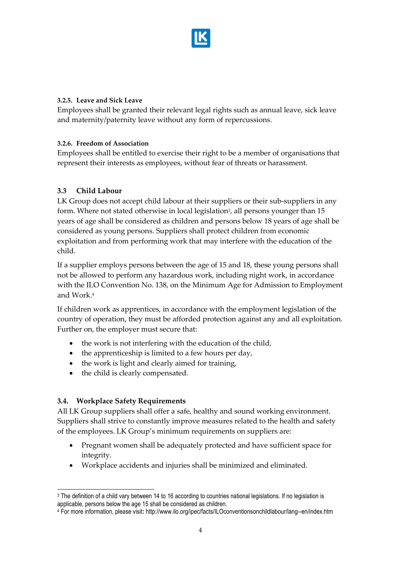

#### **3.2.5. Leave and Sick Leave**

Employees shall be granted their relevant legal rights such as annual leave, sick leave and maternity/paternity leave without any form of repercussions.

#### **3.2.6. Freedom of Association**

Employees shall be entitled to exercise their right to be a member of organisations that represent their interests as employees, without fear of threats or harassment.

# **3.3 Child Labour**

LK Group does not accept child labour at their suppliers or their sub-suppliers in any form. Where not stated otherwise in local legislation<sup>3</sup>, all persons younger than 15 years of age shall be considered as children and persons below 18 years of age shall be considered as young persons. Suppliers shall protect children from economic exploitation and from performing work that may interfere with the education of the child.

If a supplier employs persons between the age of 15 and 18, these young persons shall not be allowed to perform any hazardous work, including night work, in accordance with the ILO Convention No. 138, on the Minimum Age for Admission to Employment and Work.<sup>4</sup>

If children work as apprentices, in accordance with the employment legislation of the country of operation, they must be afforded protection against any and all exploitation. Further on, the employer must secure that:

- the work is not interfering with the education of the child,
- $\bullet$  the apprenticeship is limited to a few hours per day,
- the work is light and clearly aimed for training,
- the child is clearly compensated.

# **3.4. Workplace Safety Requirements**

All LK Group suppliers shall offer a safe, healthy and sound working environment. Suppliers shall strive to constantly improve measures related to the health and safety of the employees. LK Group's minimum requirements on suppliers are:

- Pregnant women shall be adequately protected and have sufficient space for integrity.
- Workplace accidents and injuries shall be minimized and eliminated.

<sup>-</sup><sup>3</sup> The definition of a child vary between 14 to 16 according to countries national legislations. If no legislation is applicable, persons below the age 15 shall be considered as children.

<sup>4</sup> For more information, please visit**:** http://www.ilo.org/ipec/facts/ILOconventionsonchildlabour/lang--en/index.htm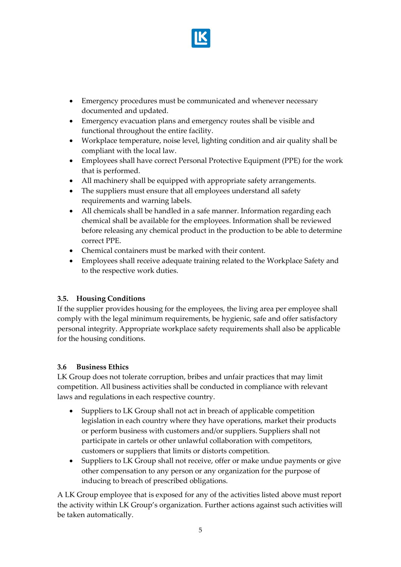

- Emergency procedures must be communicated and whenever necessary documented and updated.
- Emergency evacuation plans and emergency routes shall be visible and functional throughout the entire facility.
- Workplace temperature, noise level, lighting condition and air quality shall be compliant with the local law.
- Employees shall have correct Personal Protective Equipment (PPE) for the work that is performed.
- All machinery shall be equipped with appropriate safety arrangements.
- The suppliers must ensure that all employees understand all safety requirements and warning labels.
- All chemicals shall be handled in a safe manner. Information regarding each chemical shall be available for the employees. Information shall be reviewed before releasing any chemical product in the production to be able to determine correct PPE.
- Chemical containers must be marked with their content.
- Employees shall receive adequate training related to the Workplace Safety and to the respective work duties.

# **3.5. Housing Conditions**

If the supplier provides housing for the employees, the living area per employee shall comply with the legal minimum requirements, be hygienic, safe and offer satisfactory personal integrity. Appropriate workplace safety requirements shall also be applicable for the housing conditions.

# **3.6 Business Ethics**

LK Group does not tolerate corruption, bribes and unfair practices that may limit competition. All business activities shall be conducted in compliance with relevant laws and regulations in each respective country.

- Suppliers to LK Group shall not act in breach of applicable competition legislation in each country where they have operations, market their products or perform business with customers and/or suppliers. Suppliers shall not participate in cartels or other unlawful collaboration with competitors, customers or suppliers that limits or distorts competition.
- Suppliers to LK Group shall not receive, offer or make undue payments or give other compensation to any person or any organization for the purpose of inducing to breach of prescribed obligations.

A LK Group employee that is exposed for any of the activities listed above must report the activity within LK Group's organization. Further actions against such activities will be taken automatically.